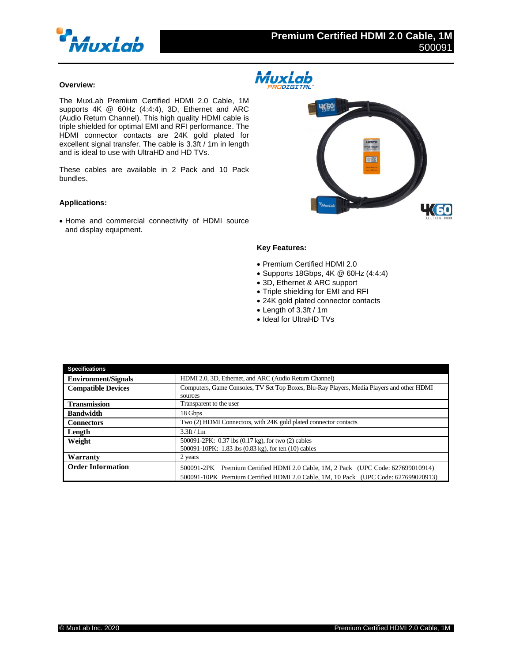

## **MuxLab** Í. **RODIGITAL**

## **Overview:**

The MuxLab Premium Certified HDMI 2.0 Cable, 1M supports 4K @ 60Hz (4:4:4), 3D, Ethernet and ARC (Audio Return Channel). This high quality HDMI cable is triple shielded for optimal EMI and RFI performance. The HDMI connector contacts are 24K gold plated for excellent signal transfer. The cable is 3.3ft / 1m in length and is ideal to use with UltraHD and HD TVs.

These cables are available in 2 Pack and 10 Pack bundles.

## **Applications:**

• Home and commercial connectivity of HDMI source and display equipment.



## **Key Features:**

- Premium Certified HDMI 2.0
- Supports 18Gbps, 4K @ 60Hz (4:4:4)
- 3D, Ethernet & ARC support
- Triple shielding for EMI and RFI
- 24K gold plated connector contacts
- Length of 3.3ft / 1m
- Ideal for UltraHD TVs

| <b>Specifications</b>      |                                                                                           |
|----------------------------|-------------------------------------------------------------------------------------------|
| <b>Environment/Signals</b> | HDMI 2.0, 3D, Ethernet, and ARC (Audio Return Channel)                                    |
| <b>Compatible Devices</b>  | Computers, Game Consoles, TV Set Top Boxes, Blu-Ray Players, Media Players and other HDMI |
|                            | sources                                                                                   |
| <b>Transmission</b>        | Transparent to the user                                                                   |
| <b>Bandwidth</b>           | 18 Gbps                                                                                   |
| <b>Connectors</b>          | Two (2) HDMI Connectors, with 24K gold plated connector contacts                          |
| Length                     | $3.3$ ft / 1m                                                                             |
| Weight                     | 500091-2PK: 0.37 lbs (0.17 kg), for two (2) cables                                        |
|                            | 500091-10PK: 1.83 lbs (0.83 kg), for ten (10) cables                                      |
| Warranty                   | 2 years                                                                                   |
| <b>Order Information</b>   | 500091-2PK Premium Certified HDMI 2.0 Cable, 1M, 2 Pack (UPC Code: 627699010914)          |
|                            | 500091-10PK Premium Certified HDMI 2.0 Cable, 1M, 10 Pack (UPC Code: 627699020913)        |